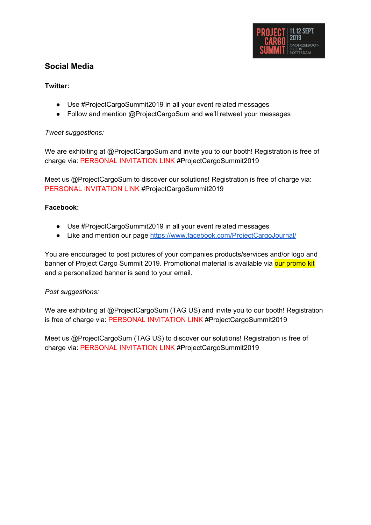

# **Social Media**

#### **Twitter:**

- Use #ProjectCargoSummit2019 in all your event related messages
- Follow and mention @ProjectCargoSum and we'll retweet your messages

#### *Tweet suggestions:*

We are exhibiting at @ProjectCargoSum and invite you to our booth! Registration is free of charge via: PERSONAL INVITATION LINK #ProjectCargoSummit2019

Meet us @ProjectCargoSum to discover our solutions! Registration is free of charge via: PERSONAL INVITATION LINK #ProjectCargoSummit2019

#### **Facebook:**

- Use #ProjectCargoSummit2019 in all your event related messages
- Like and mention our page <https://www.facebook.com/ProjectCargoJournal/>

You are encouraged to post pictures of your companies products/services and/or logo and banner of Project Cargo Summit 2019. Promotional material is available via our promo kit and a personalized banner is send to your email.

#### *Post suggestions:*

We are exhibiting at @ProjectCargoSum (TAG US) and invite you to our booth! Registration is free of charge via: PERSONAL INVITATION LINK #ProjectCargoSummit2019

Meet us @ProjectCargoSum (TAG US) to discover our solutions! Registration is free of charge via: PERSONAL INVITATION LINK #ProjectCargoSummit2019